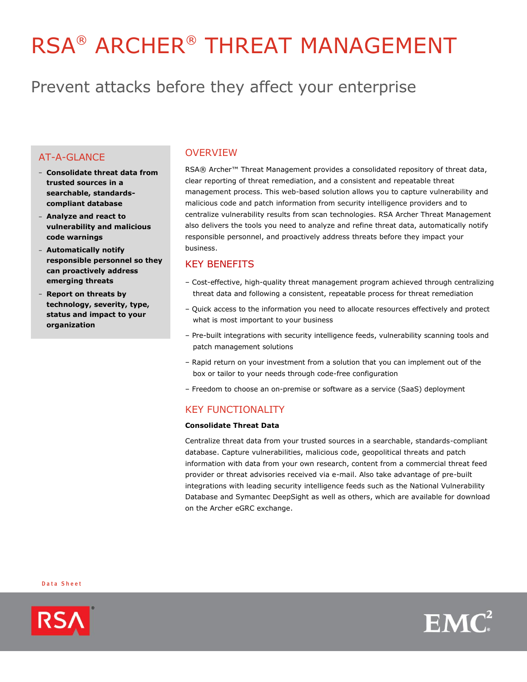# RSA® ARCHER® THREAT MANAGEMENT

# Prevent attacks before they affect your enterprise

# AT-A-GLANCE

- **Consolidate threat data from trusted sources in a searchable, standardscompliant database**
- **Analyze and react to vulnerability and malicious code warnings**
- **Automatically notify responsible personnel so they can proactively address emerging threats**
- **Report on threats by technology, severity, type, status and impact to your organization**

### OVERVIEW

RSA® Archer™ Threat Management provides a consolidated repository of threat data, clear reporting of threat remediation, and a consistent and repeatable threat management process. This web-based solution allows you to capture vulnerability and malicious code and patch information from security intelligence providers and to centralize vulnerability results from scan technologies. RSA Archer Threat Management also delivers the tools you need to analyze and refine threat data, automatically notify responsible personnel, and proactively address threats before they impact your business.

## KEY BENEFITS

- Cost-effective, high-quality threat management program achieved through centralizing threat data and following a consistent, repeatable process for threat remediation
- Quick access to the information you need to allocate resources effectively and protect what is most important to your business
- Pre-built integrations with security intelligence feeds, vulnerability scanning tools and patch management solutions
- Rapid return on your investment from a solution that you can implement out of the box or tailor to your needs through code-free configuration
- Freedom to choose an on-premise or software as a service (SaaS) deployment

# KEY FUNCTIONALITY

#### **Consolidate Threat Data**

Centralize threat data from your trusted sources in a searchable, standards-compliant database. Capture vulnerabilities, malicious code, geopolitical threats and patch information with data from your own research, content from a commercial threat feed provider or threat advisories received via e-mail. Also take advantage of pre-built integrations with leading security intelligence feeds such as the National Vulnerability Database and Symantec DeepSight as well as others, which are available for download on the Archer eGRC exchange.

Data Sheet